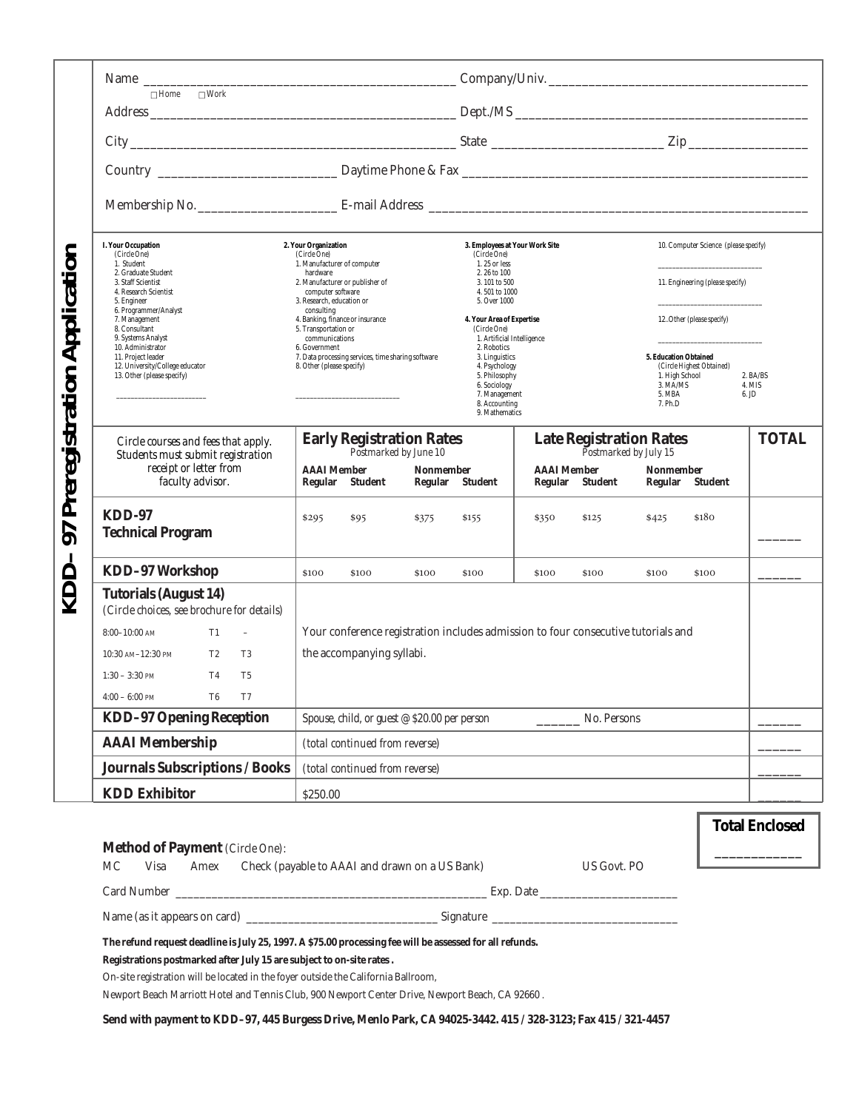| Preregistration Application | $\Box$ Home $\Box$ Work                                                          |                                                                                                                    |                                                                              |                                       |                                                         |                             |
|-----------------------------|----------------------------------------------------------------------------------|--------------------------------------------------------------------------------------------------------------------|------------------------------------------------------------------------------|---------------------------------------|---------------------------------------------------------|-----------------------------|
|                             |                                                                                  |                                                                                                                    |                                                                              |                                       |                                                         |                             |
|                             |                                                                                  |                                                                                                                    |                                                                              |                                       |                                                         |                             |
|                             |                                                                                  |                                                                                                                    |                                                                              |                                       |                                                         |                             |
|                             |                                                                                  |                                                                                                                    |                                                                              |                                       |                                                         |                             |
|                             | <b>I. Your Occupation</b><br>(Circle One)                                        | 2. Your Organization<br>(Circle One)                                                                               | 3. Employees at Your Work Site<br>(Circle One)                               |                                       | 10. Computer Science (please specify)                   |                             |
|                             | 1. Student<br>2. Graduate Student<br>3. Staff Scientist<br>4. Research Scientist | 1. Manufacturer of computer<br>hardware<br>2. Manufacturer or publisher of<br>computer software                    | 1.25 or less<br>2, 26 to 100<br>3.101 to 500<br>4.501 to 1000                |                                       | 11. Engineering (please specify)                        |                             |
|                             | 5. Engineer<br>6. Programmer/Analyst<br>7. Management<br>8. Consultant           | 3. Research, education or<br>consulting<br>4. Banking, finance or insurance<br>5. Transportation or                | 5. Over 1000<br>4. Your Area of Expertise<br>(Circle One)                    |                                       | 12. Other (please specify)                              |                             |
|                             | 9. Systems Analyst<br>10. Administrator<br>11. Project leader                    | communications<br>6. Government<br>7. Data processing services, time sharing software<br>8. Other (please specify) | 1. Artificial Intelligence<br>2. Robotics<br>3. Linguistics<br>4. Psychology |                                       | 5. Education Obtained<br>(Circle Highest Obtained)      |                             |
|                             | 12. University/College educator<br>13. Other (please specify)                    |                                                                                                                    | 5. Philosophy<br>6. Sociology<br>7. Management                               |                                       | 1. High School<br>3. MA/MS<br>5. MBA                    | 2. BA/BS<br>4. MIS<br>6. JD |
|                             |                                                                                  |                                                                                                                    | 8. Accounting<br>9. Mathematics                                              |                                       | 7. Ph.D                                                 |                             |
|                             | Circle courses and fees that apply.<br>Students must submit registration         | <b>Early Registration Rates</b><br>Postmarked by June 10                                                           |                                                                              |                                       | <b>Late Registration Rates</b><br>Postmarked by July 15 | <b>TOTAL</b>                |
|                             | receipt or letter from<br>faculty advisor.                                       | <b>AAAI</b> Member<br><b>Nonmember</b><br>Regular Student                                                          | Regular Student                                                              | <b>AAAI</b> Member<br>Regular Student | <b>Nonmember</b><br>Regular Student                     |                             |
| 50                          | $KDD-97$<br><b>Technical Program</b>                                             | \$295<br>\$95<br>\$375                                                                                             | \$155<br>\$350                                                               | \$125                                 | \$180<br>\$425                                          |                             |
|                             | <b>KDD-97 Workshop</b>                                                           | \$100<br>\$100<br>\$100                                                                                            | \$100<br>\$100                                                               | \$100                                 | \$100<br>\$100                                          |                             |
|                             | <b>Tutorials (August 14)</b><br>(Circle choices, see brochure for details)       |                                                                                                                    |                                                                              |                                       |                                                         |                             |
|                             | $8:00-10:00$ AM<br>T1<br>$\equiv$                                                | Your conference registration includes admission to four consecutive tutorials and                                  |                                                                              |                                       |                                                         |                             |
|                             | $10:30$ AM- $12:30$ PM<br>T2<br>T3                                               | the accompanying syllabi.                                                                                          |                                                                              |                                       |                                                         |                             |
|                             | T4<br>T <sub>5</sub><br>$1:30 - 3:30$ PM                                         |                                                                                                                    |                                                                              |                                       |                                                         |                             |
|                             | $4:00 - 6:00$ PM<br>T <sub>6</sub><br>T7                                         |                                                                                                                    |                                                                              |                                       |                                                         |                             |
|                             | <b>KDD-97 Opening Reception</b>                                                  | Spouse, child, or guest @ \$20.00 per person                                                                       |                                                                              | No. Persons                           |                                                         |                             |
|                             | <b>AAAI</b> Membership                                                           | (total continued from reverse)                                                                                     |                                                                              |                                       |                                                         |                             |
|                             | Journals Subscriptions / Books                                                   | (total continued from reverse)                                                                                     |                                                                              |                                       |                                                         |                             |
|                             | <b>KDD</b> Exhibitor                                                             | \$250.00                                                                                                           |                                                                              |                                       |                                                         |                             |
|                             |                                                                                  |                                                                                                                    |                                                                              |                                       |                                                         | <b>Total Enclosed</b>       |
|                             | <b>Method of Payment</b> (Circle One):                                           |                                                                                                                    |                                                                              |                                       |                                                         |                             |

| <b>Method of Payment</b> (Circle One): |      |  |                                                     |                           |  |  |
|----------------------------------------|------|--|-----------------------------------------------------|---------------------------|--|--|
| MC                                     | Visa |  | Amex Check (payable to AAAI and drawn on a US Bank) | US Govt. PO               |  |  |
|                                        |      |  |                                                     | Exp. Date $\qquad \qquad$ |  |  |
| Name (as it appears on card)           |      |  | Signature                                           |                           |  |  |

**The refund request deadline is July 25, 1997. A \$75.00 processing fee will be assessed for all refunds.** 

**Registrations postmarked after July 15 are subject to on-site rates .**

On-site registration will be located in the foyer outside the California Ballroom,

Newport Beach Marriott Hotel and Tennis Club, 900 Newport Center Drive, Newport Beach, CA 92660 .

**Send with payment to KDD–97, 445 Burgess Drive, Menlo Park, CA 94025-3442. 415 / 328-3123; Fax 415 / 321-4457**